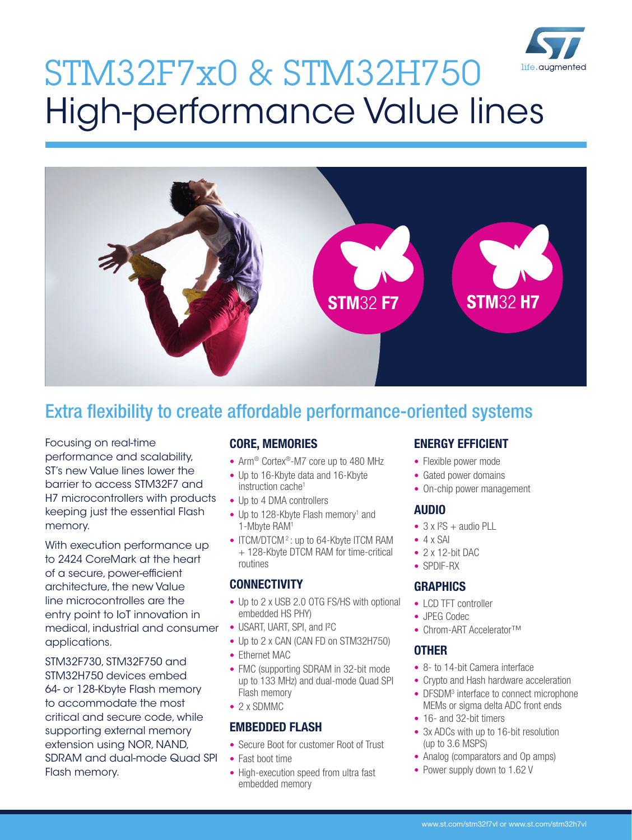

# STM32F7x0 & STM32H750 High-performance Value lines



# Extra flexibility to create affordable performance-oriented systems

Focusing on real-time performance and scalability, ST's new Value lines lower the barrier to access STM32F7 and H7 microcontrollers with products keeping just the essential Flash memory.

With execution performance up to 2424 CoreMark at the heart of a secure, power-efficient architecture, the new Value line microcontrolles are the entry point to IoT innovation in medical, industrial and consumer applications.

STM32F730, STM32F750 and STM32H750 devices embed 64- or 128-Kbyte Flash memory to accommodate the most critical and secure code, while supporting external memory extension using NOR, NAND, SDRAM and dual-mode Quad SPI Flash memory.

### CORE, MEMORIES

- Arm<sup>®</sup> Cortex®-M7 core up to 480 MHz
- Up to 16-Kbyte data and 16-Kbyte instruction cache<sup>1</sup>
- Up to 4 DMA controllers
- Up to 128-Kbyte Flash memory<sup>1</sup> and 1-Mbyte RAM1
- ITCM/DTCM<sup>2</sup>: up to 64-Kbyte ITCM RAM + 128-Kbyte DTCM RAM for time-critical routines

#### **CONNECTIVITY**

- Up to 2 x USB 2.0 OTG FS/HS with optional embedded HS PHY)
- USART, UART, SPI, and I<sup>2</sup>C
- Up to 2 x CAN (CAN FD on STM32H750)
- Ethernet MAC
- FMC (supporting SDRAM in 32-bit mode up to 133 MHz) and dual-mode Quad SPI Flash memory
- 2 x SDMMC

### EMBEDDED FLASH

- Secure Boot for customer Root of Trust
- Fast boot time
- High-execution speed from ultra fast embedded memory

## ENERGY EFFICIENT

- Flexible power mode
- Gated power domains
- On-chip power management

#### AUDIO

- $\bullet$  3 x I<sup>2</sup>S + audio PLL
- $-4 \times SAI$
- 2 x 12-bit DAC
- SPDIF-RX

### **GRAPHICS**

- LCD TFT controller
- JPEG Codec
- Chrom-ART Accelerator™

#### **OTHER**

- 8- to 14-bit Camera interface
- Crypto and Hash hardware acceleration
- DFSDM3 interface to connect microphone MEMs or sigma delta ADC front ends
- 16- and 32-bit timers
- 3x ADCs with up to 16-bit resolution (up to 3.6 MSPS)
- Analog (comparators and Op amps)
- Power supply down to 1.62 V